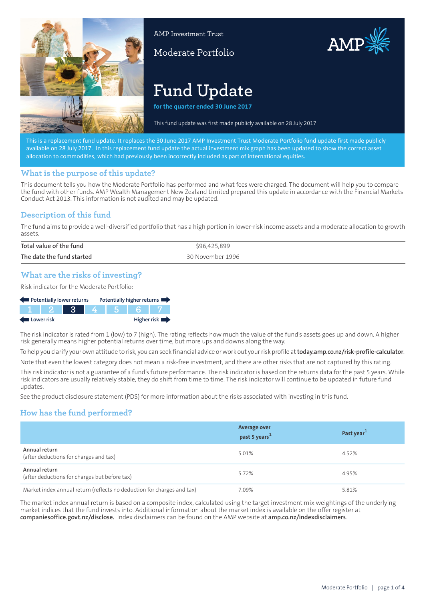

AMP Investment Trust

# Moderate Portfolio



AMP

**for the quarter ended 30 June 2017**

This fund update was first made publidy available on 13A arch 201,

This is a replacement fund update. It replaces the 30 June 2017 AMP Investment Trust Moderate Portfolio fund update first made publicly available on 28 July 2017. In this replacement fund update the actual investment mix graph has been updated to show the correct asset allocation to commodities, which had previously been incorrectly included as part of international equities.

#### **What is the purpose of this update?**

This document tells you how the Moderate Portfolio has performed and what fees were charged. The document will help you to compare the fund with other funds. AMP Wealth Management New Zealand Limited prepared this update in accordance with the Financial Markets Conduct Act 2013. This information is not audited and may be updated.

### **Description of this fund**

The fund aims to provide a well-diversified portfolio that has a high portion in lower-risk income assets and a moderate allocation to growth assets.

| Total value of the fund   | \$96,425,899     |
|---------------------------|------------------|
| The date the fund started | 30 November 1996 |

#### **What are the risks of investing?**

Risk indicator for the Moderate Portfolio:

| Potentially lower returns |  |         |  | Potentially higher returns |
|---------------------------|--|---------|--|----------------------------|
|                           |  | 1234567 |  |                            |
| Lower risk                |  |         |  | Higher risk $\blacksquare$ |

The risk indicator is rated from 1 (low) to 7 (high). The rating reflects how much the value of the fund's assets goes up and down. A higher risk generally means higher potential returns over time, but more ups and downs along the way.

To help you clarify your own attitude to risk, you can seek financial advice or work out your risk profile at**[today.amp.co.nz/risk-profile-calculator](http://today.amp.co.nz/risk-profile-calculator)**.

Note that even the lowest category does not mean a risk-free investment, and there are other risks that are not captured by this rating.

This risk indicator is not a guarantee of a fund's future performance. The risk indicator is based on the returns data for the past 5 years. While risk indicators are usually relatively stable, they do shift from time to time. The risk indicator will continue to be updated in future fund updates.

See the product disclosure statement (PDS) for more information about the risks associated with investing in this fund.

### **How has the fund performed?**

|                                                                        | <b>Average over</b><br>past 5 years <sup>1</sup> | Past year <sup>1</sup> |
|------------------------------------------------------------------------|--------------------------------------------------|------------------------|
| Annual return<br>(after deductions for charges and tax)                | 5.01%                                            | 4.52%                  |
| Annual return<br>(after deductions for charges but before tax)         | 5.72%                                            | 4.95%                  |
| Market index annual return (reflects no deduction for charges and tax) | 7.09%                                            | 5.81%                  |

The market index annual return is based on a composite index, calculated using the target investment mix weightings of the underlying market indices that the fund invests into. Additional information about the market index is available on the offer register at **[companiesoffice.govt.nz/disclose](http://companiesoffice.govt.nz/disclose).** Index disclaimers can be found on the AMP website at **[amp.co.nz/indexdisclaimers](http://amp.co.nz/indexdisclaimers)**.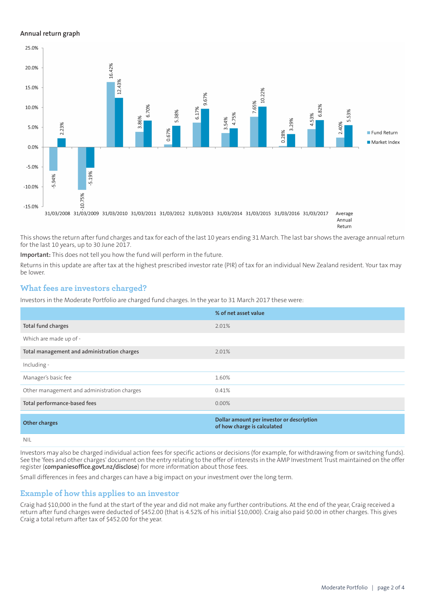#### **Annual return graph**



This shows the return after fund charges and tax for each of the last 10 years ending 31 March. The last bar shows the average annual return for the last 10 years, up to 30 June 2017.

**Important:** This does not tell you how the fund will perform in the future.

Returns in this update are after tax at the highest prescribed investor rate (PIR) of tax for an individual New Zealand resident. Your tax may be lower.

### **What fees are investors charged?**

Investors in the Moderate Portfolio are charged fund charges. In the year to 31 March 2017 these were:

|                                             | % of net asset value                                                     |
|---------------------------------------------|--------------------------------------------------------------------------|
| Total fund charges                          | 2.01%                                                                    |
| Which are made up of -                      |                                                                          |
| Total management and administration charges | 2.01%                                                                    |
| Including -                                 |                                                                          |
| Manager's basic fee                         | 1.60%                                                                    |
| Other management and administration charges | 0.41%                                                                    |
| Total performance-based fees                | $0.00\%$                                                                 |
| <b>Other charges</b>                        | Dollar amount per investor or description<br>of how charge is calculated |
| <b>NIL</b>                                  |                                                                          |

Investors may also be charged individual action fees for specific actions or decisions (for example, for withdrawing from or switching funds). See the 'fees and other charges' document on the entry relating to the offer of interests in the AMP Investment Trust maintained on the offer register (**[companiesoffice.govt.nz/disclose](http://companiesoffice.govt.nz/disclose)**) for more information about those fees.

Small differences in fees and charges can have a big impact on your investment over the long term.

### **Example of how this applies to an investor**

Craig had \$10,000 in the fund at the start of the year and did not make any further contributions. At the end of the year, Craig received a return after fund charges were deducted of \$452.00 (that is 4.52% of his initial \$10,000). Craig also paid \$0.00 in other charges. This gives Craig a total return after tax of \$452.00 for the year.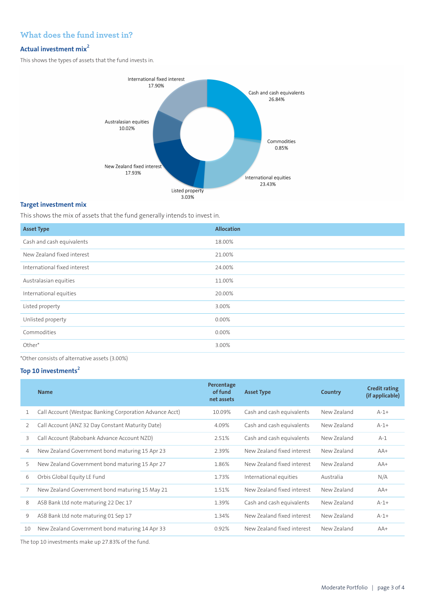## **What does the fund invest in?**

# **Actual investment mix<sup>2</sup>**

This shows the types of assets that the fund invests in.



## **Target investment mix**

This shows the mix of assets that the fund generally intends to invest in.

| <b>Asset Type</b>            | <b>Allocation</b> |
|------------------------------|-------------------|
| Cash and cash equivalents    | 18.00%            |
| New Zealand fixed interest   | 21.00%            |
| International fixed interest | 24.00%            |
| Australasian equities        | 11.00%            |
| International equities       | 20.00%            |
| Listed property              | 3.00%             |
| Unlisted property            | 0.00%             |
| Commodities                  | 0.00%             |
| Other*                       | 3.00%             |

\*Other consists of alternative assets (3.00%)

### **Top 10 investments<sup>2</sup>**

|    | <b>Name</b>                                             | Percentage<br>of fund<br>net assets | <b>Asset Type</b>          | Country     | <b>Credit rating</b><br>(if applicable) |
|----|---------------------------------------------------------|-------------------------------------|----------------------------|-------------|-----------------------------------------|
|    | Call Account (Westpac Banking Corporation Advance Acct) | 10.09%                              | Cash and cash equivalents  | New Zealand | $A-1+$                                  |
| 2  | Call Account (ANZ 32 Day Constant Maturity Date)        | 4.09%                               | Cash and cash equivalents  | New Zealand | $A-1+$                                  |
| 3  | Call Account (Rabobank Advance Account NZD)             | 2.51%                               | Cash and cash equivalents  | New Zealand | $A-1$                                   |
| 4  | New Zealand Government bond maturing 15 Apr 23          | 2.39%                               | New Zealand fixed interest | New Zealand | $AA+$                                   |
| 5  | New Zealand Government bond maturing 15 Apr 27          | 1.86%                               | New Zealand fixed interest | New Zealand | $AA+$                                   |
| 6  | Orbis Global Equity LE Fund                             | 1.73%                               | International equities     | Australia   | N/A                                     |
| 7  | New Zealand Government bond maturing 15 May 21          | 1.51%                               | New Zealand fixed interest | New 7ealand | $AA+$                                   |
| 8  | ASB Bank Ltd note maturing 22 Dec 17                    | 1.39%                               | Cash and cash equivalents  | New Zealand | $A-1+$                                  |
| 9  | ASB Bank Ltd note maturing 01 Sep 17                    | 1.34%                               | New Zealand fixed interest | New Zealand | $A-1+$                                  |
| 10 | New Zealand Government bond maturing 14 Apr 33          | 0.92%                               | New Zealand fixed interest | New Zealand | $AA+$                                   |

The top 10 investments make up 27.83% of the fund.